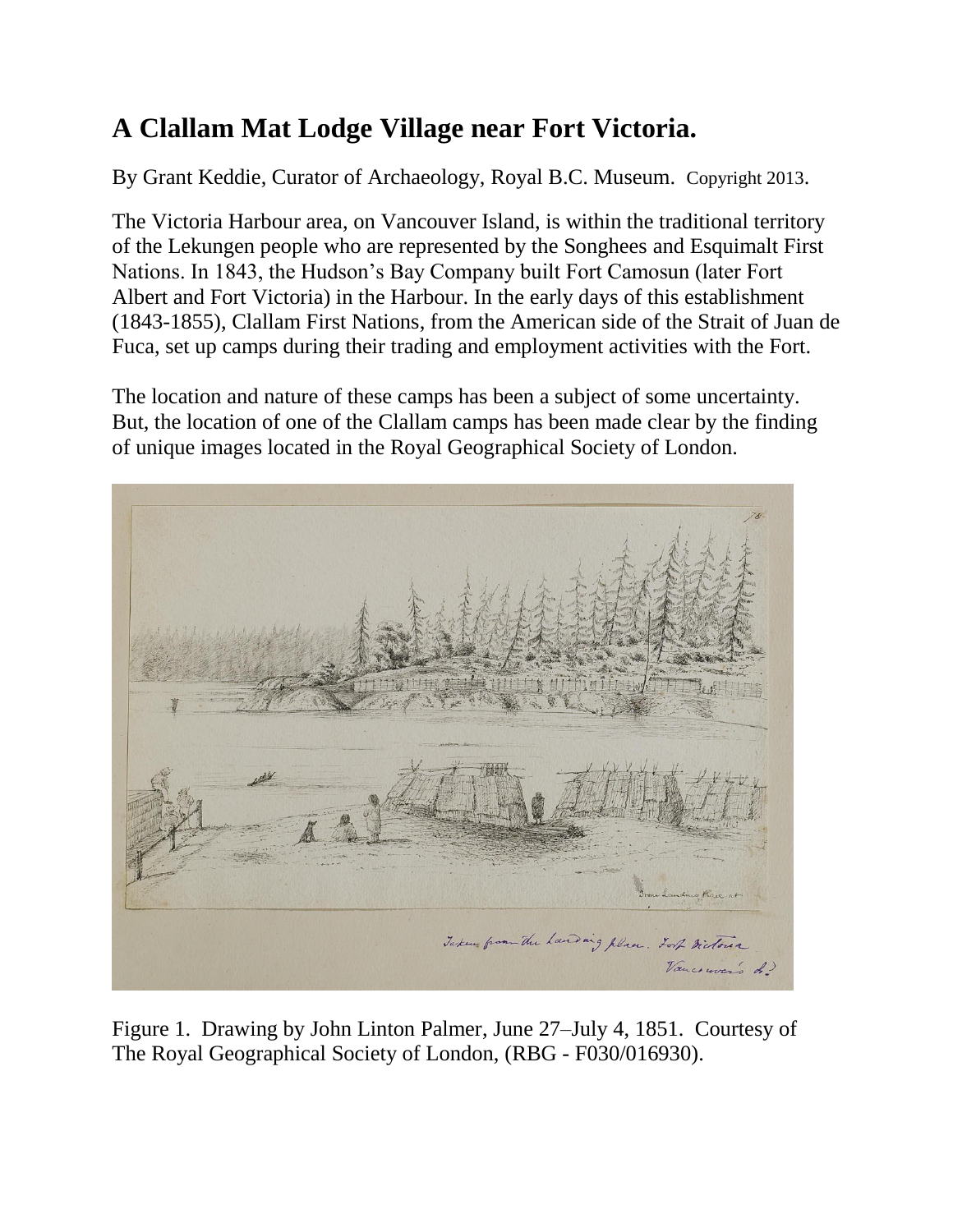# **A Clallam Mat Lodge Village near Fort Victoria.**

By Grant Keddie, Curator of Archaeology, Royal B.C. Museum. Copyright 2013.

The Victoria Harbour area, on Vancouver Island, is within the traditional territory of the Lekungen people who are represented by the Songhees and Esquimalt First Nations. In 1843, the Hudson's Bay Company built Fort Camosun (later Fort Albert and Fort Victoria) in the Harbour. In the early days of this establishment (1843-1855), Clallam First Nations, from the American side of the Strait of Juan de Fuca, set up camps during their trading and employment activities with the Fort.

The location and nature of these camps has been a subject of some uncertainty. But, the location of one of the Clallam camps has been made clear by the finding of unique images located in the Royal Geographical Society of London.



Figure 1. Drawing by John Linton Palmer, June 27–July 4, 1851. Courtesy of The Royal Geographical Society of London, (RBG - F030/016930).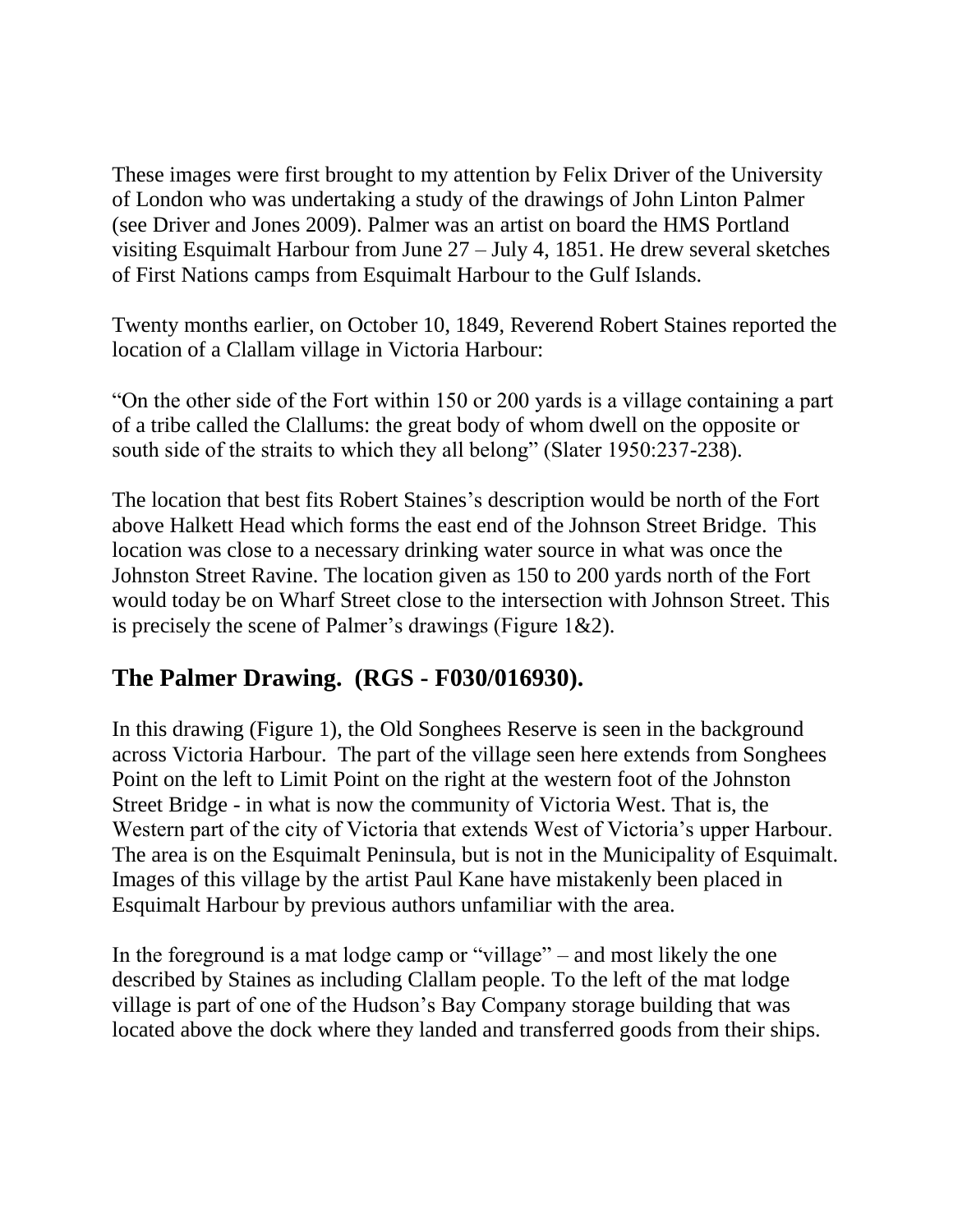These images were first brought to my attention by Felix Driver of the University of London who was undertaking a study of the drawings of John Linton Palmer (see Driver and Jones 2009). Palmer was an artist on board the HMS Portland visiting Esquimalt Harbour from June 27 – July 4, 1851. He drew several sketches of First Nations camps from Esquimalt Harbour to the Gulf Islands.

Twenty months earlier, on October 10, 1849, Reverend Robert Staines reported the location of a Clallam village in Victoria Harbour:

"On the other side of the Fort within 150 or 200 yards is a village containing a part of a tribe called the Clallums: the great body of whom dwell on the opposite or south side of the straits to which they all belong" (Slater 1950:237-238).

The location that best fits Robert Staines's description would be north of the Fort above Halkett Head which forms the east end of the Johnson Street Bridge. This location was close to a necessary drinking water source in what was once the Johnston Street Ravine. The location given as 150 to 200 yards north of the Fort would today be on Wharf Street close to the intersection with Johnson Street. This is precisely the scene of Palmer's drawings (Figure 1&2).

## **The Palmer Drawing. (RGS - F030/016930).**

In this drawing (Figure 1), the Old Songhees Reserve is seen in the background across Victoria Harbour. The part of the village seen here extends from Songhees Point on the left to Limit Point on the right at the western foot of the Johnston Street Bridge - in what is now the community of Victoria West. That is, the Western part of the city of Victoria that extends West of Victoria's upper Harbour. The area is on the Esquimalt Peninsula, but is not in the Municipality of Esquimalt. Images of this village by the artist Paul Kane have mistakenly been placed in Esquimalt Harbour by previous authors unfamiliar with the area.

In the foreground is a mat lodge camp or "village" – and most likely the one described by Staines as including Clallam people. To the left of the mat lodge village is part of one of the Hudson's Bay Company storage building that was located above the dock where they landed and transferred goods from their ships.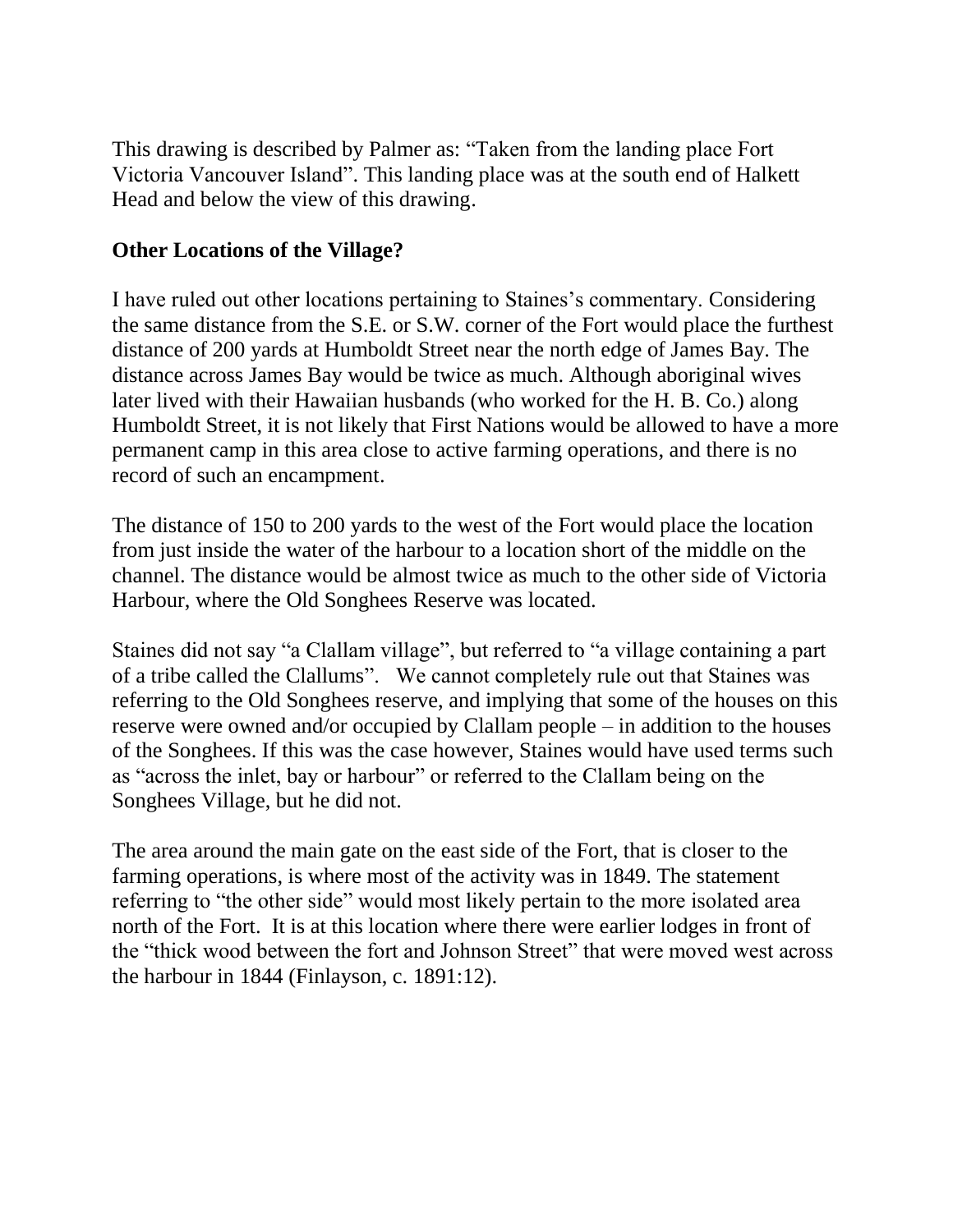This drawing is described by Palmer as: "Taken from the landing place Fort Victoria Vancouver Island". This landing place was at the south end of Halkett Head and below the view of this drawing.

#### **Other Locations of the Village?**

I have ruled out other locations pertaining to Staines's commentary. Considering the same distance from the S.E. or S.W. corner of the Fort would place the furthest distance of 200 yards at Humboldt Street near the north edge of James Bay. The distance across James Bay would be twice as much. Although aboriginal wives later lived with their Hawaiian husbands (who worked for the H. B. Co.) along Humboldt Street, it is not likely that First Nations would be allowed to have a more permanent camp in this area close to active farming operations, and there is no record of such an encampment.

The distance of 150 to 200 yards to the west of the Fort would place the location from just inside the water of the harbour to a location short of the middle on the channel. The distance would be almost twice as much to the other side of Victoria Harbour, where the Old Songhees Reserve was located.

Staines did not say "a Clallam village", but referred to "a village containing a part of a tribe called the Clallums". We cannot completely rule out that Staines was referring to the Old Songhees reserve, and implying that some of the houses on this reserve were owned and/or occupied by Clallam people – in addition to the houses of the Songhees. If this was the case however, Staines would have used terms such as "across the inlet, bay or harbour" or referred to the Clallam being on the Songhees Village, but he did not.

The area around the main gate on the east side of the Fort, that is closer to the farming operations, is where most of the activity was in 1849. The statement referring to "the other side" would most likely pertain to the more isolated area north of the Fort. It is at this location where there were earlier lodges in front of the "thick wood between the fort and Johnson Street" that were moved west across the harbour in 1844 (Finlayson, c. 1891:12).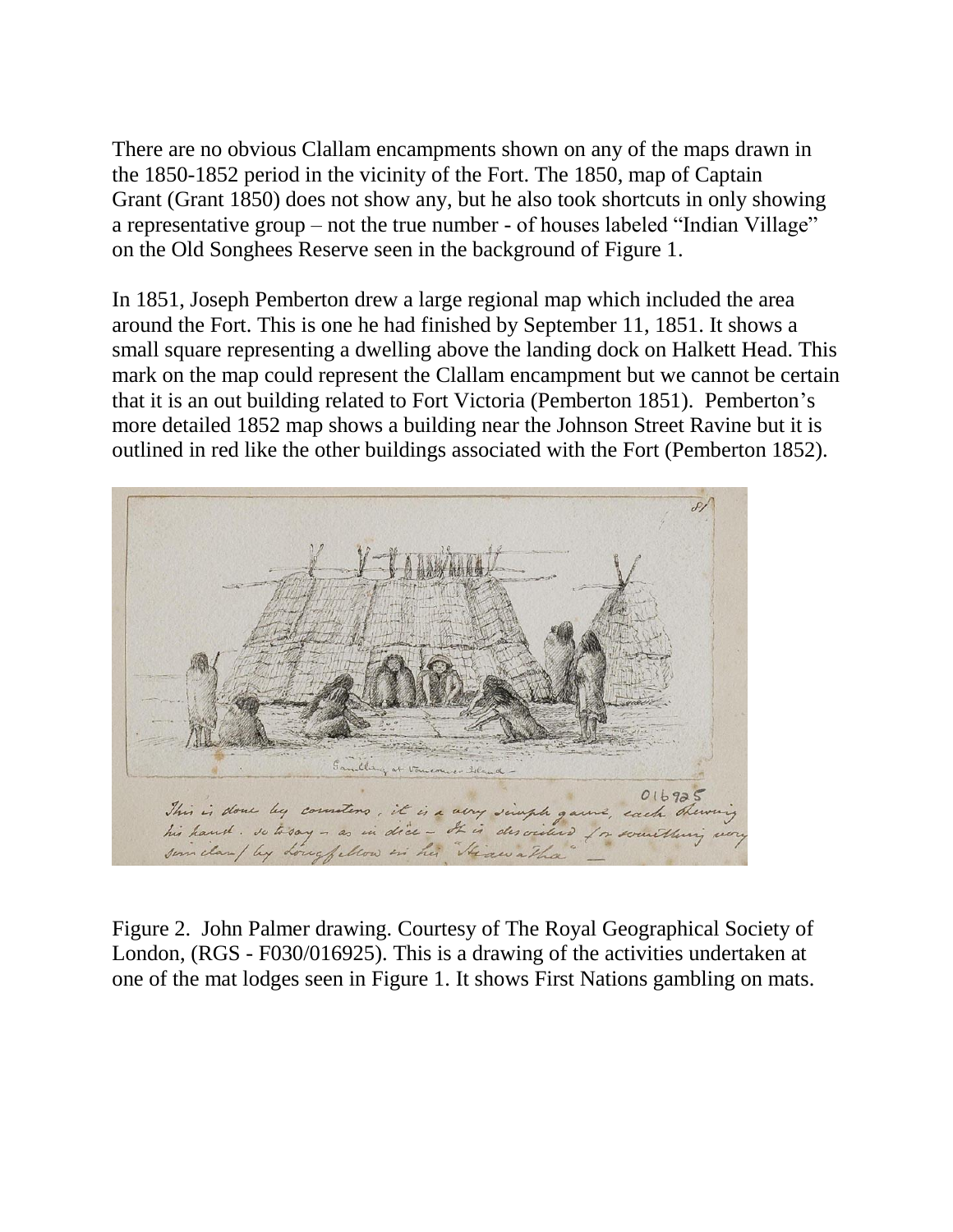There are no obvious Clallam encampments shown on any of the maps drawn in the 1850-1852 period in the vicinity of the Fort. The 1850, map of Captain Grant (Grant 1850) does not show any, but he also took shortcuts in only showing a representative group – not the true number - of houses labeled "Indian Village" on the Old Songhees Reserve seen in the background of Figure 1.

In 1851, Joseph Pemberton drew a large regional map which included the area around the Fort. This is one he had finished by September 11, 1851. It shows a small square representing a dwelling above the landing dock on Halkett Head. This mark on the map could represent the Clallam encampment but we cannot be certain that it is an out building related to Fort Victoria (Pemberton 1851). Pemberton's more detailed 1852 map shows a building near the Johnson Street Ravine but it is outlined in red like the other buildings associated with the Fort (Pemberton 1852).



Figure 2. John Palmer drawing. Courtesy of The Royal Geographical Society of London, (RGS - F030/016925). This is a drawing of the activities undertaken at one of the mat lodges seen in Figure 1. It shows First Nations gambling on mats.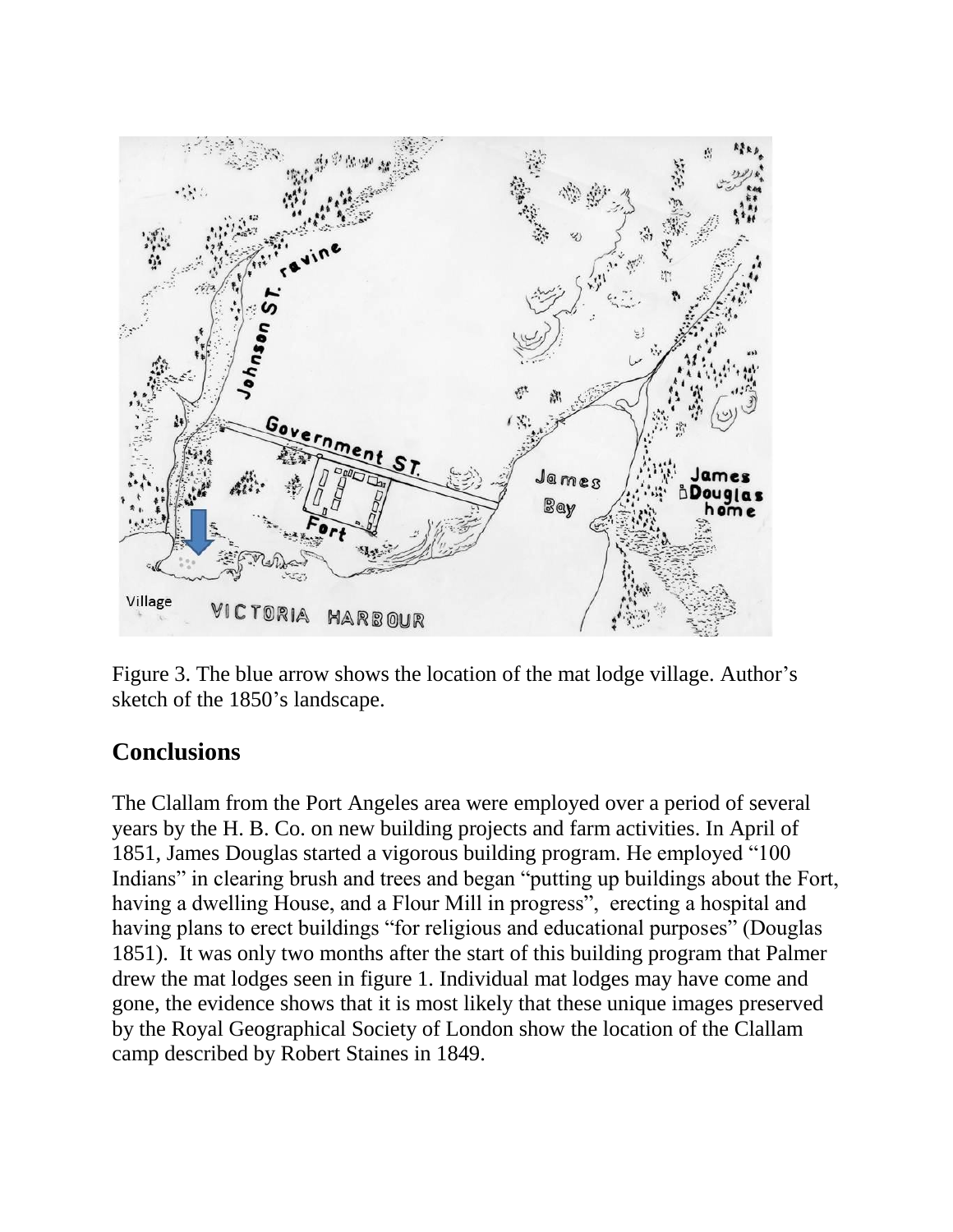

Figure 3. The blue arrow shows the location of the mat lodge village. Author's sketch of the 1850's landscape.

## **Conclusions**

The Clallam from the Port Angeles area were employed over a period of several years by the H. B. Co. on new building projects and farm activities. In April of 1851, James Douglas started a vigorous building program. He employed "100 Indians" in clearing brush and trees and began "putting up buildings about the Fort, having a dwelling House, and a Flour Mill in progress", erecting a hospital and having plans to erect buildings "for religious and educational purposes" (Douglas 1851). It was only two months after the start of this building program that Palmer drew the mat lodges seen in figure 1. Individual mat lodges may have come and gone, the evidence shows that it is most likely that these unique images preserved by the Royal Geographical Society of London show the location of the Clallam camp described by Robert Staines in 1849.